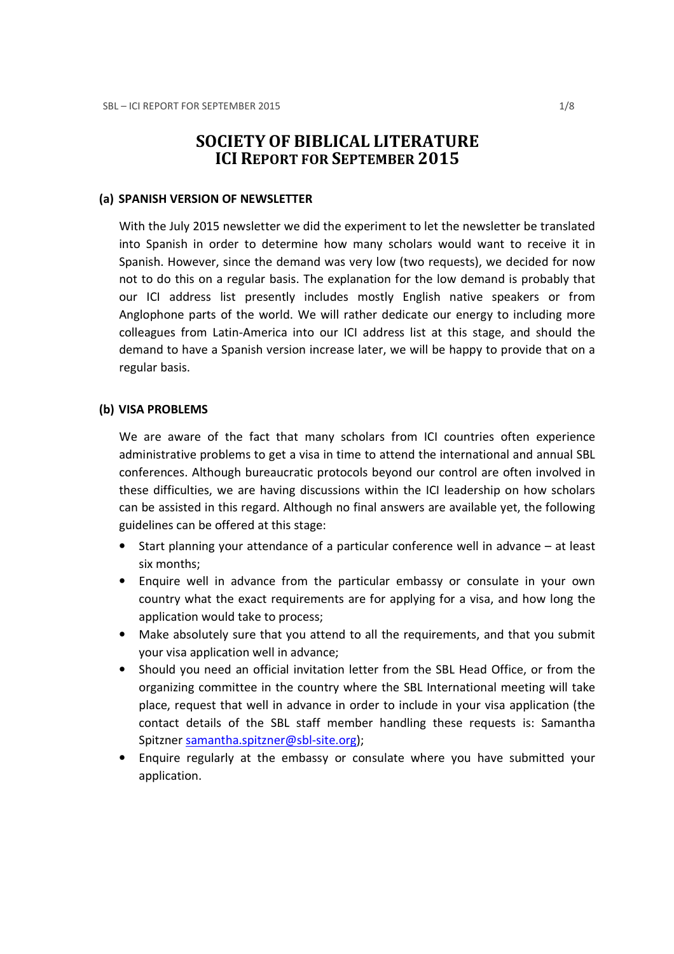# SOCIETY OF BIBLICAL LITERATURE ICI REPORT FOR SEPTEMBER 2015

### (a) SPANISH VERSION OF NEWSLETTER

With the July 2015 newsletter we did the experiment to let the newsletter be translated into Spanish in order to determine how many scholars would want to receive it in Spanish. However, since the demand was very low (two requests), we decided for now not to do this on a regular basis. The explanation for the low demand is probably that our ICI address list presently includes mostly English native speakers or from Anglophone parts of the world. We will rather dedicate our energy to including more colleagues from Latin-America into our ICI address list at this stage, and should the demand to have a Spanish version increase later, we will be happy to provide that on a regular basis.

#### (b) VISA PROBLEMS

We are aware of the fact that many scholars from ICI countries often experience administrative problems to get a visa in time to attend the international and annual SBL conferences. Although bureaucratic protocols beyond our control are often involved in these difficulties, we are having discussions within the ICI leadership on how scholars can be assisted in this regard. Although no final answers are available yet, the following guidelines can be offered at this stage:

- Start planning your attendance of a particular conference well in advance at least six months;
- Enquire well in advance from the particular embassy or consulate in your own country what the exact requirements are for applying for a visa, and how long the application would take to process;
- Make absolutely sure that you attend to all the requirements, and that you submit your visa application well in advance;
- Should you need an official invitation letter from the SBL Head Office, or from the organizing committee in the country where the SBL International meeting will take place, request that well in advance in order to include in your visa application (the contact details of the SBL staff member handling these requests is: Samantha Spitzner samantha.spitzner@sbl-site.org);
- Enquire regularly at the embassy or consulate where you have submitted your application.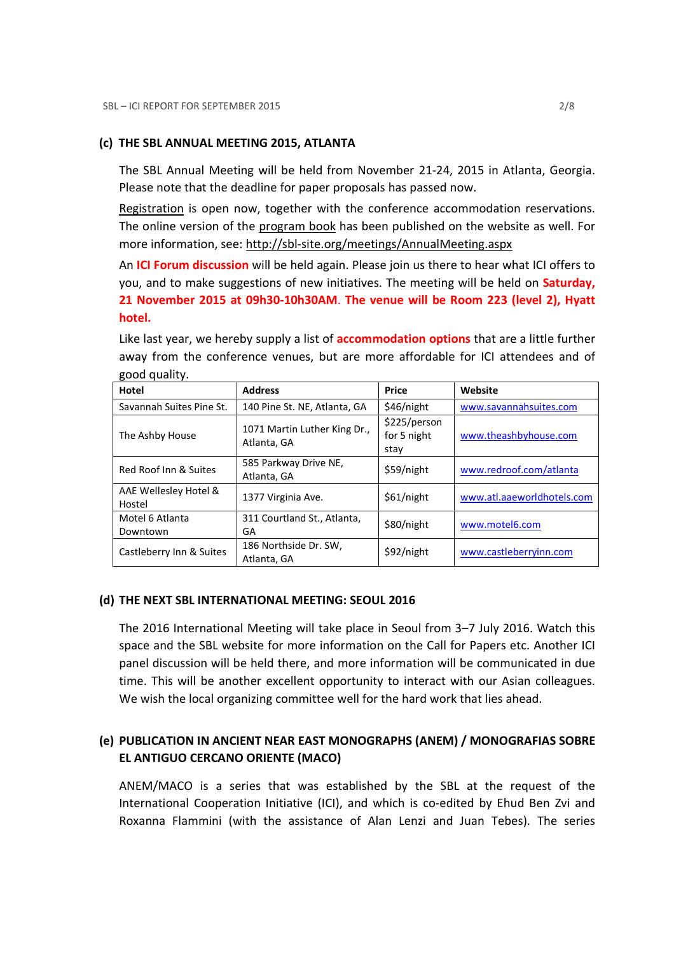#### (c) THE SBL ANNUAL MEETING 2015, ATLANTA

The SBL Annual Meeting will be held from November 21-24, 2015 in Atlanta, Georgia. Please note that the deadline for paper proposals has passed now.

Registration is open now, together with the conference accommodation reservations. The online version of the program book has been published on the website as well. For more information, see: http://sbl-site.org/meetings/AnnualMeeting.aspx

An ICI Forum discussion will be held again. Please join us there to hear what ICI offers to you, and to make suggestions of new initiatives. The meeting will be held on **Saturday**, 21 November 2015 at 09h30-10h30AM. The venue will be Room 223 (level 2), Hyatt hotel.

| good quality.            |                                             |              |                            |
|--------------------------|---------------------------------------------|--------------|----------------------------|
| Hotel                    | <b>Address</b>                              | Price        | Website                    |
| Savannah Suites Pine St. | 140 Pine St. NE, Atlanta, GA                | \$46/night   | www.savannahsuites.com     |
| The Ashby House          | 1071 Martin Luther King Dr.,<br>Atlanta, GA | \$225/person |                            |
|                          |                                             | for 5 night  | www.theashbyhouse.com      |
|                          |                                             | stay         |                            |
| Red Roof Inn & Suites    | 585 Parkway Drive NE,                       | \$59/night   | www.redroof.com/atlanta    |
|                          | Atlanta, GA                                 |              |                            |
| AAE Wellesley Hotel &    | 1377 Virginia Ave.                          | \$61/night   | www.atl.aaeworldhotels.com |
| Hostel                   |                                             |              |                            |
| Motel 6 Atlanta          | 311 Courtland St., Atlanta,                 | \$80/night   | www.motel6.com             |
| Downtown                 | GA                                          |              |                            |
| Castleberry Inn & Suites | 186 Northside Dr. SW,                       | \$92/night   | www.castleberryinn.com     |
|                          | Atlanta, GA                                 |              |                            |

Like last year, we hereby supply a list of **accommodation options** that are a little further away from the conference venues, but are more affordable for ICI attendees and of good quality.

#### (d) THE NEXT SBL INTERNATIONAL MEETING: SEOUL 2016

The 2016 International Meeting will take place in Seoul from 3–7 July 2016. Watch this space and the SBL website for more information on the Call for Papers etc. Another ICI panel discussion will be held there, and more information will be communicated in due time. This will be another excellent opportunity to interact with our Asian colleagues. We wish the local organizing committee well for the hard work that lies ahead.

## (e) PUBLICATION IN ANCIENT NEAR EAST MONOGRAPHS (ANEM) / MONOGRAFIAS SOBRE EL ANTIGUO CERCANO ORIENTE (MACO)

ANEM/MACO is a series that was established by the SBL at the request of the International Cooperation Initiative (ICI), and which is co-edited by Ehud Ben Zvi and Roxanna Flammini (with the assistance of Alan Lenzi and Juan Tebes). The series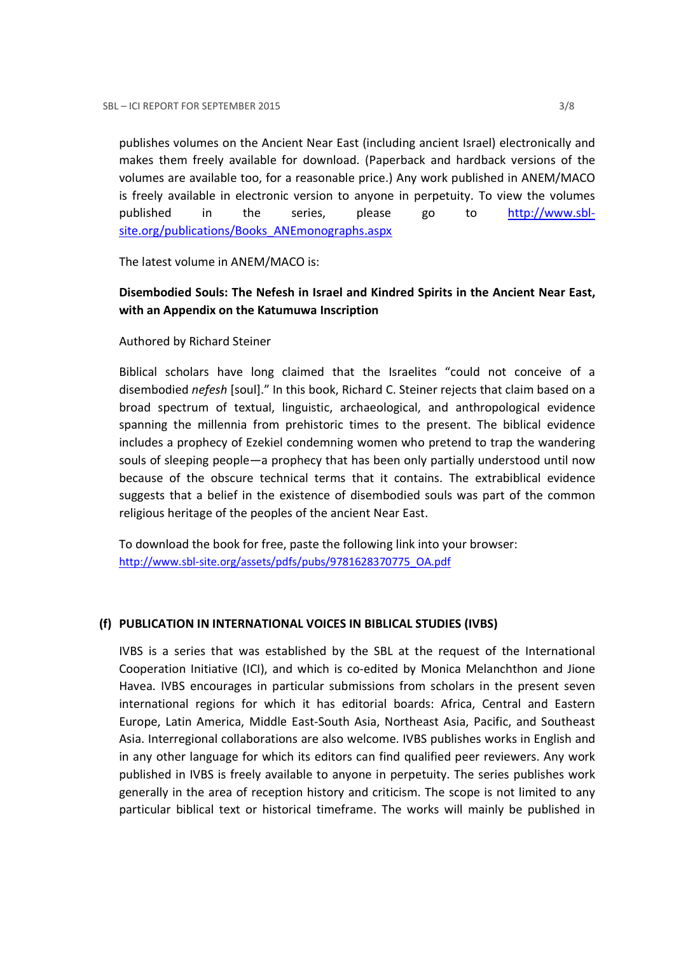publishes volumes on the Ancient Near East (including ancient Israel) electronically and makes them freely available for download. (Paperback and hardback versions of the volumes are available too, for a reasonable price.) Any work published in ANEM/MACO is freely available in electronic version to anyone in perpetuity. To view the volumes published in the series, please go to http://www.sblsite.org/publications/Books\_ANEmonographs.aspx

The latest volume in ANEM/MACO is:

## Disembodied Souls: The Nefesh in Israel and Kindred Spirits in the Ancient Near East, with an Appendix on the Katumuwa Inscription

Authored by Richard Steiner

Biblical scholars have long claimed that the Israelites "could not conceive of a disembodied nefesh [soul]." In this book, Richard C. Steiner rejects that claim based on a broad spectrum of textual, linguistic, archaeological, and anthropological evidence spanning the millennia from prehistoric times to the present. The biblical evidence includes a prophecy of Ezekiel condemning women who pretend to trap the wandering souls of sleeping people—a prophecy that has been only partially understood until now because of the obscure technical terms that it contains. The extrabiblical evidence suggests that a belief in the existence of disembodied souls was part of the common religious heritage of the peoples of the ancient Near East.

To download the book for free, paste the following link into your browser: http://www.sbl-site.org/assets/pdfs/pubs/9781628370775\_OA.pdf

## (f) PUBLICATION IN INTERNATIONAL VOICES IN BIBLICAL STUDIES (IVBS)

IVBS is a series that was established by the SBL at the request of the International Cooperation Initiative (ICI), and which is co-edited by Monica Melanchthon and Jione Havea. IVBS encourages in particular submissions from scholars in the present seven international regions for which it has editorial boards: Africa, Central and Eastern Europe, Latin America, Middle East-South Asia, Northeast Asia, Pacific, and Southeast Asia. Interregional collaborations are also welcome. IVBS publishes works in English and in any other language for which its editors can find qualified peer reviewers. Any work published in IVBS is freely available to anyone in perpetuity. The series publishes work generally in the area of reception history and criticism. The scope is not limited to any particular biblical text or historical timeframe. The works will mainly be published in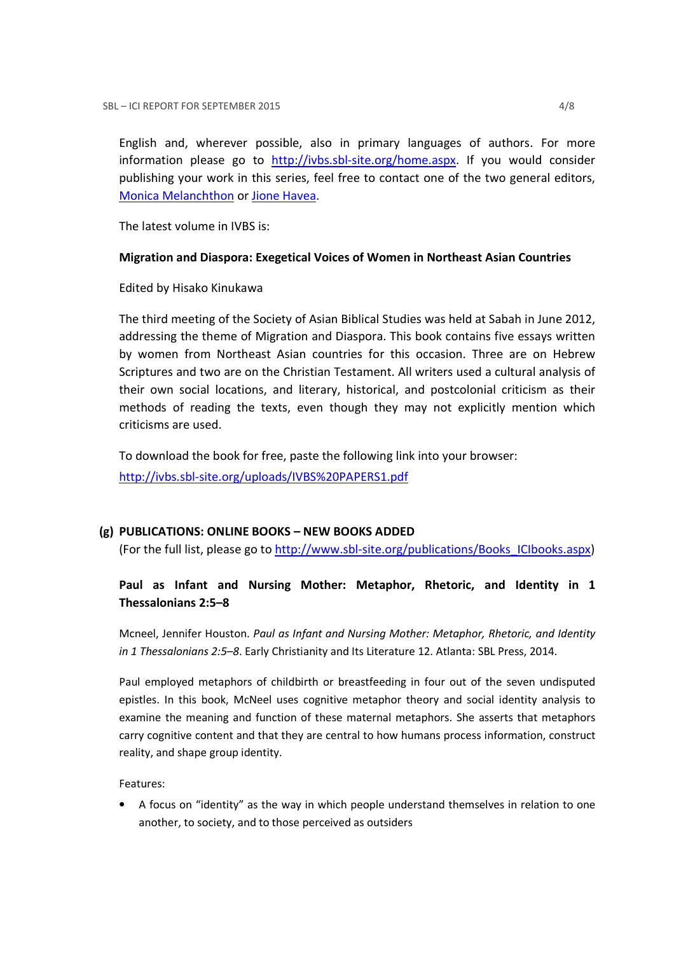English and, wherever possible, also in primary languages of authors. For more information please go to http://ivbs.sbl-site.org/home.aspx. If you would consider publishing your work in this series, feel free to contact one of the two general editors, Monica Melanchthon or Jione Havea.

The latest volume in IVBS is:

### Migration and Diaspora: Exegetical Voices of Women in Northeast Asian Countries

Edited by Hisako Kinukawa

The third meeting of the Society of Asian Biblical Studies was held at Sabah in June 2012, addressing the theme of Migration and Diaspora. This book contains five essays written by women from Northeast Asian countries for this occasion. Three are on Hebrew Scriptures and two are on the Christian Testament. All writers used a cultural analysis of their own social locations, and literary, historical, and postcolonial criticism as their methods of reading the texts, even though they may not explicitly mention which criticisms are used.

To download the book for free, paste the following link into your browser:

http://ivbs.sbl-site.org/uploads/IVBS%20PAPERS1.pdf

## (g) PUBLICATIONS: ONLINE BOOKS – NEW BOOKS ADDED

(For the full list, please go to http://www.sbl-site.org/publications/Books\_ICIbooks.aspx)

## Paul as Infant and Nursing Mother: Metaphor, Rhetoric, and Identity in 1 Thessalonians 2:5–8

Mcneel, Jennifer Houston. Paul as Infant and Nursing Mother: Metaphor, Rhetoric, and Identity in 1 Thessalonians 2:5–8. Early Christianity and Its Literature 12. Atlanta: SBL Press, 2014.

Paul employed metaphors of childbirth or breastfeeding in four out of the seven undisputed epistles. In this book, McNeel uses cognitive metaphor theory and social identity analysis to examine the meaning and function of these maternal metaphors. She asserts that metaphors carry cognitive content and that they are central to how humans process information, construct reality, and shape group identity.

Features:

• A focus on "identity" as the way in which people understand themselves in relation to one another, to society, and to those perceived as outsiders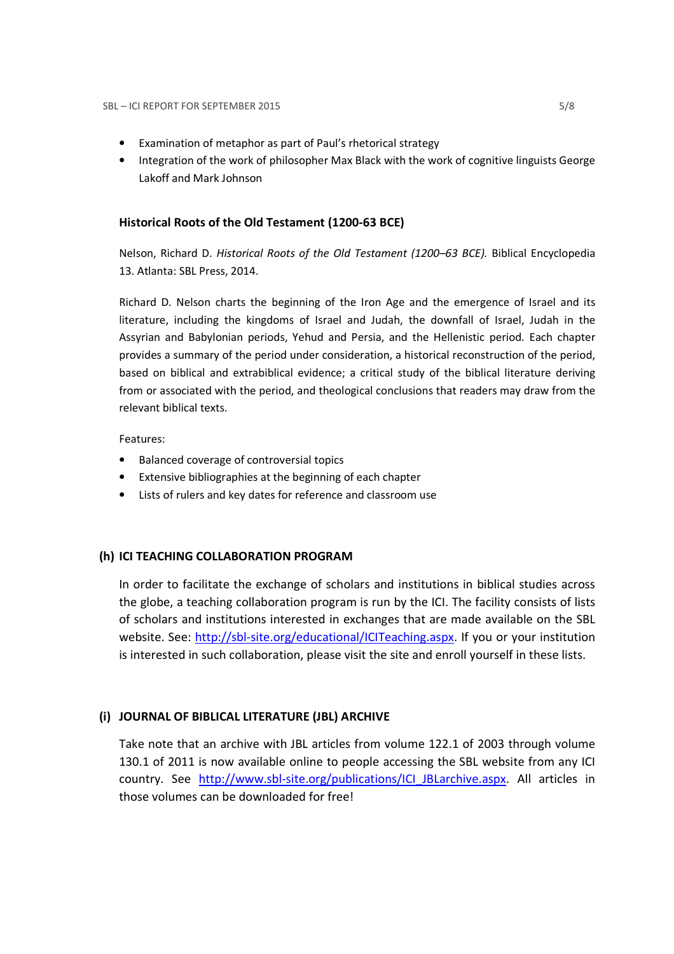- Examination of metaphor as part of Paul's rhetorical strategy
- Integration of the work of philosopher Max Black with the work of cognitive linguists George Lakoff and Mark Johnson

### Historical Roots of the Old Testament (1200-63 BCE)

Nelson, Richard D. Historical Roots of the Old Testament (1200–63 BCE). Biblical Encyclopedia 13. Atlanta: SBL Press, 2014.

Richard D. Nelson charts the beginning of the Iron Age and the emergence of Israel and its literature, including the kingdoms of Israel and Judah, the downfall of Israel, Judah in the Assyrian and Babylonian periods, Yehud and Persia, and the Hellenistic period. Each chapter provides a summary of the period under consideration, a historical reconstruction of the period, based on biblical and extrabiblical evidence; a critical study of the biblical literature deriving from or associated with the period, and theological conclusions that readers may draw from the relevant biblical texts.

Features:

- Balanced coverage of controversial topics
- Extensive bibliographies at the beginning of each chapter
- Lists of rulers and key dates for reference and classroom use

### (h) ICI TEACHING COLLABORATION PROGRAM

In order to facilitate the exchange of scholars and institutions in biblical studies across the globe, a teaching collaboration program is run by the ICI. The facility consists of lists of scholars and institutions interested in exchanges that are made available on the SBL website. See: http://sbl-site.org/educational/ICITeaching.aspx. If you or your institution is interested in such collaboration, please visit the site and enroll yourself in these lists.

## (i) JOURNAL OF BIBLICAL LITERATURE (JBL) ARCHIVE

Take note that an archive with JBL articles from volume 122.1 of 2003 through volume 130.1 of 2011 is now available online to people accessing the SBL website from any ICI country. See http://www.sbl-site.org/publications/ICI\_JBLarchive.aspx. All articles in those volumes can be downloaded for free!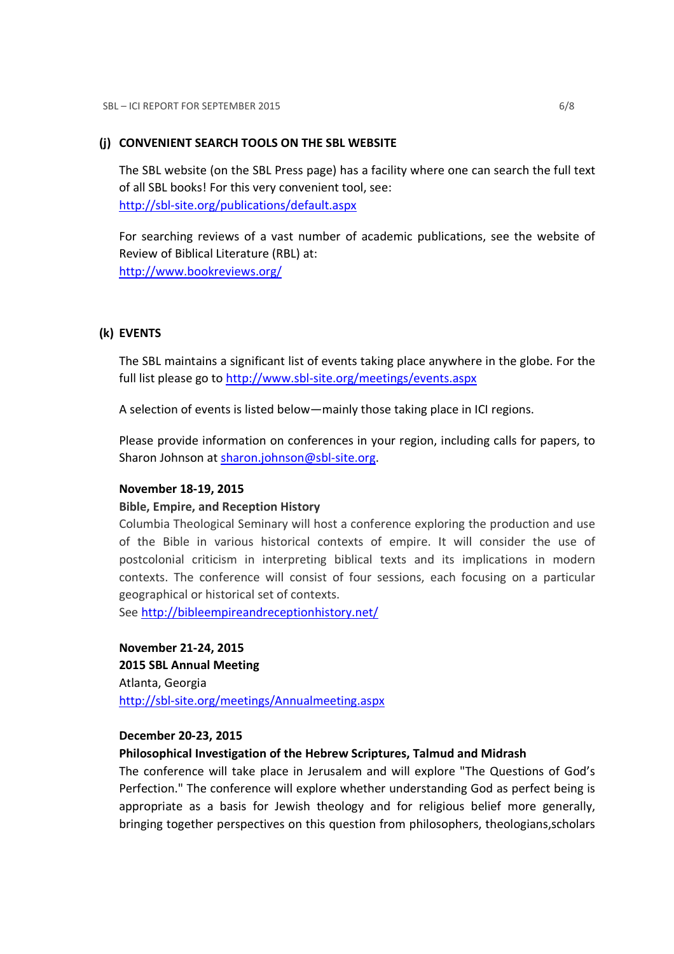### (j) CONVENIENT SEARCH TOOLS ON THE SBL WEBSITE

The SBL website (on the SBL Press page) has a facility where one can search the full text of all SBL books! For this very convenient tool, see: http://sbl-site.org/publications/default.aspx

For searching reviews of a vast number of academic publications, see the website of Review of Biblical Literature (RBL) at: http://www.bookreviews.org/

### (k) EVENTS

The SBL maintains a significant list of events taking place anywhere in the globe. For the full list please go to http://www.sbl-site.org/meetings/events.aspx

A selection of events is listed below—mainly those taking place in ICI regions.

Please provide information on conferences in your region, including calls for papers, to Sharon Johnson at sharon.johnson@sbl-site.org.

### November 18-19, 2015

### Bible, Empire, and Reception History

Columbia Theological Seminary will host a conference exploring the production and use of the Bible in various historical contexts of empire. It will consider the use of postcolonial criticism in interpreting biblical texts and its implications in modern contexts. The conference will consist of four sessions, each focusing on a particular geographical or historical set of contexts.

See http://bibleempireandreceptionhistory.net/

November 21-24, 2015 2015 SBL Annual Meeting Atlanta, Georgia http://sbl-site.org/meetings/Annualmeeting.aspx

### December 20-23, 2015

### Philosophical Investigation of the Hebrew Scriptures, Talmud and Midrash

The conference will take place in Jerusalem and will explore "The Questions of God's Perfection." The conference will explore whether understanding God as perfect being is appropriate as a basis for Jewish theology and for religious belief more generally, bringing together perspectives on this question from philosophers, theologians,scholars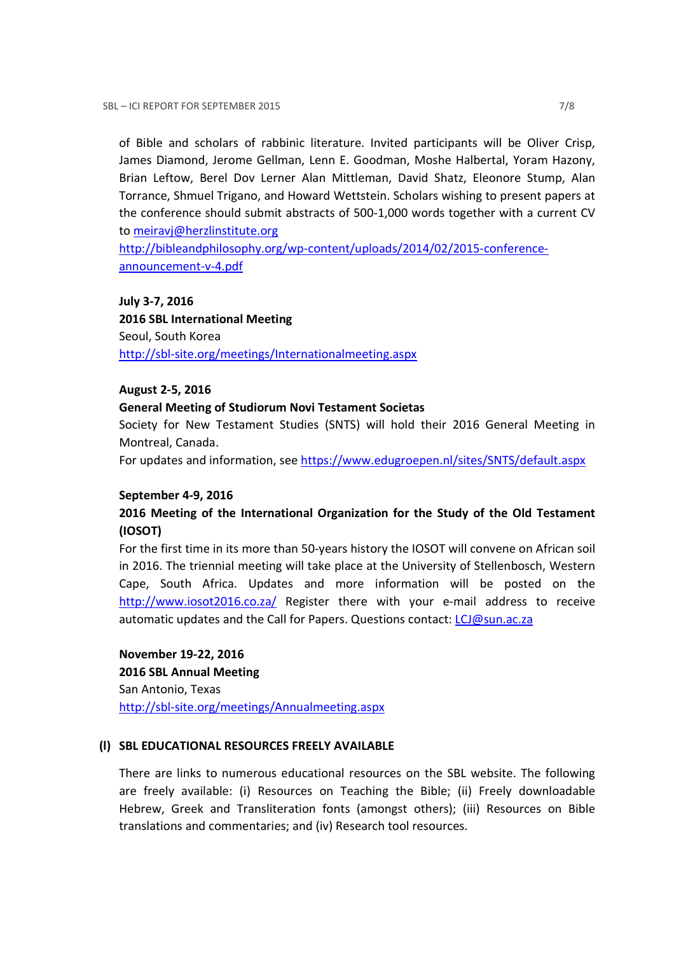of Bible and scholars of rabbinic literature. Invited participants will be Oliver Crisp, James Diamond, Jerome Gellman, Lenn E. Goodman, Moshe Halbertal, Yoram Hazony, Brian Leftow, Berel Dov Lerner Alan Mittleman, David Shatz, Eleonore Stump, Alan Torrance, Shmuel Trigano, and Howard Wettstein. Scholars wishing to present papers at the conference should submit abstracts of 500-1,000 words together with a current CV to meiravj@herzlinstitute.org

http://bibleandphilosophy.org/wp-content/uploads/2014/02/2015-conferenceannouncement-v-4.pdf

#### July 3-7, 2016

2016 SBL International Meeting Seoul, South Korea http://sbl-site.org/meetings/Internationalmeeting.aspx

#### August 2-5, 2016

#### General Meeting of Studiorum Novi Testament Societas

Society for New Testament Studies (SNTS) will hold their 2016 General Meeting in Montreal, Canada.

For updates and information, see https://www.edugroepen.nl/sites/SNTS/default.aspx

#### September 4-9, 2016

## 2016 Meeting of the International Organization for the Study of the Old Testament (IOSOT)

For the first time in its more than 50-years history the IOSOT will convene on African soil in 2016. The triennial meeting will take place at the University of Stellenbosch, Western Cape, South Africa. Updates and more information will be posted on the http://www.iosot2016.co.za/ Register there with your e-mail address to receive automatic updates and the Call for Papers. Questions contact: LCJ@sun.ac.za

November 19-22, 2016

2016 SBL Annual Meeting San Antonio, Texas http://sbl-site.org/meetings/Annualmeeting.aspx

### (l) SBL EDUCATIONAL RESOURCES FREELY AVAILABLE

There are links to numerous educational resources on the SBL website. The following are freely available: (i) Resources on Teaching the Bible; (ii) Freely downloadable Hebrew, Greek and Transliteration fonts (amongst others); (iii) Resources on Bible translations and commentaries; and (iv) Research tool resources.